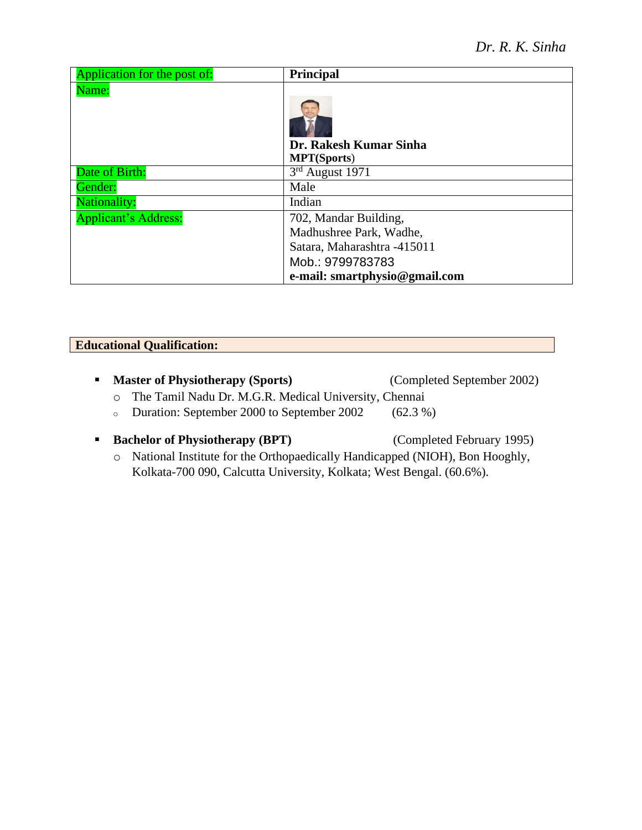| Application for the post of: | Principal                                    |
|------------------------------|----------------------------------------------|
| Name:                        | Dr. Rakesh Kumar Sinha<br><b>MPT(Sports)</b> |
| Date of Birth:               | $3rd$ August 1971                            |
| Gender:                      | Male                                         |
| <b>Nationality:</b>          | Indian                                       |
| <b>Applicant's Address:</b>  | 702, Mandar Building,                        |
|                              | Madhushree Park, Wadhe,                      |
|                              | Satara, Maharashtra -415011                  |
|                              | Mob.: 9799783783                             |
|                              | e-mail: smartphysio@gmail.com                |

# **Educational Qualification:**

- **Master of Physiotherapy (Sports)** (Completed September 2002)
	- o The Tamil Nadu Dr. M.G.R. Medical University, Chennai
	- <sup>o</sup> Duration: September 2000 to September 2002 (62.3 %)
- **Bachelor of Physiotherapy (BPT)** (Completed February 1995)
	-
	- o National Institute for the Orthopaedically Handicapped (NIOH), Bon Hooghly, Kolkata-700 090, Calcutta University, Kolkata; West Bengal. (60.6%).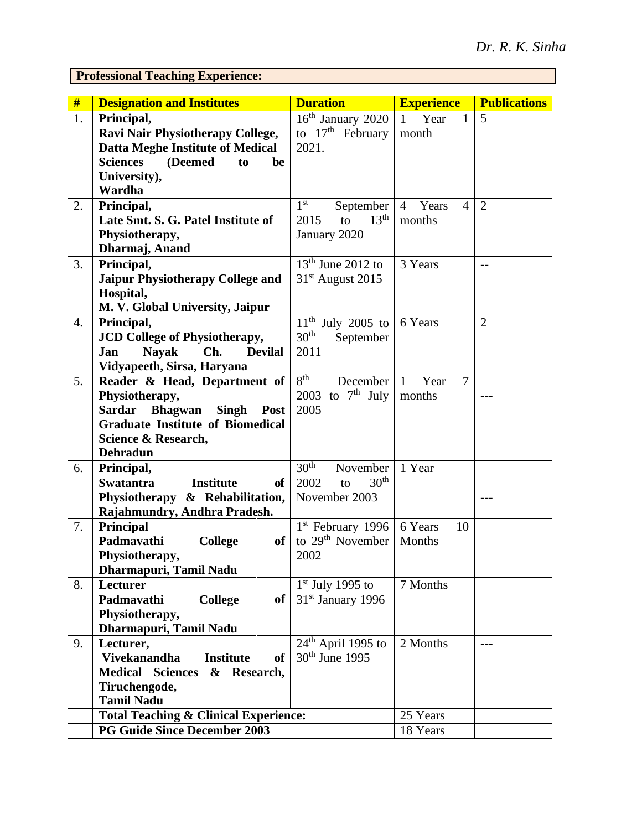**Professional Teaching Experience:**

| #  | <b>Designation and Institutes</b>                               | <b>Duration</b>                      | <b>Experience</b>                         | <b>Publications</b> |
|----|-----------------------------------------------------------------|--------------------------------------|-------------------------------------------|---------------------|
| 1. | Principal,                                                      | $16th$ January 2020                  | Year<br>$\mathbf{1}$<br>$\mathbf{1}$      | 5                   |
|    | Ravi Nair Physiotherapy College,                                | to $17th$ February                   | month                                     |                     |
|    | <b>Datta Meghe Institute of Medical</b>                         | 2021.                                |                                           |                     |
|    | <b>Sciences</b><br>(Deemed<br>be<br>to                          |                                      |                                           |                     |
|    | University),                                                    |                                      |                                           |                     |
|    | Wardha                                                          |                                      |                                           |                     |
| 2. | Principal,                                                      | 1 <sup>st</sup><br>September         | $\overline{4}$<br>Years<br>$\overline{4}$ | $\overline{2}$      |
|    | Late Smt. S. G. Patel Institute of                              | 13 <sup>th</sup><br>to<br>2015       | months                                    |                     |
|    | Physiotherapy,                                                  | January 2020                         |                                           |                     |
|    | Dharmaj, Anand                                                  |                                      |                                           |                     |
| 3. | Principal,                                                      | $13th$ June 2012 to                  | 3 Years                                   | $-$                 |
|    | Jaipur Physiotherapy College and                                | $31st$ August 2015                   |                                           |                     |
|    | Hospital,                                                       |                                      |                                           |                     |
|    | M. V. Global University, Jaipur                                 |                                      |                                           |                     |
| 4. | Principal,                                                      | $11^{th}$ July 2005 to               | 6 Years                                   | $\overline{2}$      |
|    | <b>JCD College of Physiotherapy,</b>                            | 30 <sup>th</sup><br>September        |                                           |                     |
|    | <b>Nayak</b><br>Ch.<br><b>Devilal</b><br>Jan                    | 2011                                 |                                           |                     |
|    | Vidyapeeth, Sirsa, Haryana                                      |                                      |                                           |                     |
| 5. | Reader & Head, Department of                                    | 8 <sup>th</sup><br>December          | $\overline{7}$<br>Year<br>$\mathbf{1}$    |                     |
|    | Physiotherapy,                                                  | 2003 to $7th$ July                   | months                                    |                     |
|    | <b>Sardar</b><br><b>Bhagwan</b><br><b>Singh</b><br>Post         | 2005                                 |                                           |                     |
|    | <b>Graduate Institute of Biomedical</b>                         |                                      |                                           |                     |
|    | Science & Research,                                             |                                      |                                           |                     |
|    | <b>Dehradun</b>                                                 | 30 <sup>th</sup>                     | 1 Year                                    |                     |
| 6. | Principal,<br><b>Swatantra</b><br><b>Institute</b><br><b>of</b> | November<br>30 <sup>th</sup><br>2002 |                                           |                     |
|    |                                                                 | to                                   |                                           |                     |
|    | Physiotherapy & Rehabilitation,                                 | November 2003                        |                                           |                     |
| 7. | Rajahmundry, Andhra Pradesh.<br>Principal                       | $1st$ February 1996                  | 6 Years<br>10                             |                     |
|    | Padmavathi<br><b>College</b><br>of                              | to $29th$ November                   | Months                                    |                     |
|    | Physiotherapy,                                                  | 2002                                 |                                           |                     |
|    | Dharmapuri, Tamil Nadu                                          |                                      |                                           |                     |
| 8. | <b>Lecturer</b>                                                 | $1st$ July 1995 to                   | 7 Months                                  |                     |
|    | Padmavathi<br>of<br><b>College</b>                              | 31 <sup>st</sup> January 1996        |                                           |                     |
|    | Physiotherapy,                                                  |                                      |                                           |                     |
|    | Dharmapuri, Tamil Nadu                                          |                                      |                                           |                     |
| 9. | Lecturer,                                                       | $24th$ April 1995 to                 | 2 Months                                  | ---                 |
|    | <b>Vivekanandha</b><br><b>Institute</b><br><b>of</b>            | 30 <sup>th</sup> June 1995           |                                           |                     |
|    | <b>Medical Sciences</b><br>& Research,                          |                                      |                                           |                     |
|    | Tiruchengode,                                                   |                                      |                                           |                     |
|    | <b>Tamil Nadu</b>                                               |                                      |                                           |                     |
|    | <b>Total Teaching &amp; Clinical Experience:</b>                |                                      | 25 Years                                  |                     |
|    | <b>PG Guide Since December 2003</b>                             |                                      | 18 Years                                  |                     |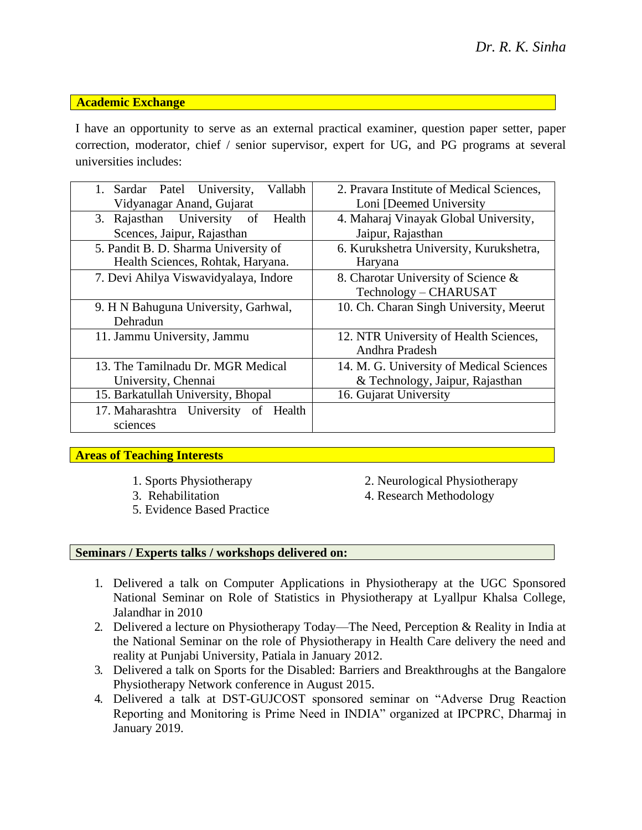### **Academic Exchange**

I have an opportunity to serve as an external practical examiner, question paper setter, paper correction, moderator, chief / senior supervisor, expert for UG, and PG programs at several universities includes:

| 1. Sardar Patel University,<br>Vallabh     | 2. Pravara Institute of Medical Sciences, |  |  |
|--------------------------------------------|-------------------------------------------|--|--|
| Vidyanagar Anand, Gujarat                  | Loni [Deemed University                   |  |  |
| 3. Rajasthan University<br>Health<br>of    | 4. Maharaj Vinayak Global University,     |  |  |
| Scences, Jaipur, Rajasthan                 | Jaipur, Rajasthan                         |  |  |
| 5. Pandit B. D. Sharma University of       | 6. Kurukshetra University, Kurukshetra,   |  |  |
| Health Sciences, Rohtak, Haryana.          | Haryana                                   |  |  |
| 7. Devi Ahilya Viswavidyalaya, Indore      | 8. Charotar University of Science &       |  |  |
|                                            | Technology – CHARUSAT                     |  |  |
| 9. H N Bahuguna University, Garhwal,       | 10. Ch. Charan Singh University, Meerut   |  |  |
| Dehradun                                   |                                           |  |  |
| 11. Jammu University, Jammu                | 12. NTR University of Health Sciences,    |  |  |
|                                            | Andhra Pradesh                            |  |  |
| 13. The Tamilnadu Dr. MGR Medical          | 14. M. G. University of Medical Sciences  |  |  |
| University, Chennai                        | & Technology, Jaipur, Rajasthan           |  |  |
| 15. Barkatullah University, Bhopal         | 16. Gujarat University                    |  |  |
| 17. Maharashtra University<br>of<br>Health |                                           |  |  |
| sciences                                   |                                           |  |  |

### **Areas of Teaching Interests**

- 
- 
- 5. Evidence Based Practice
- 1. Sports Physiotherapy 2. Neurological Physiotherapy
- 3. Rehabilitation 4. Research Methodology

## **Seminars / Experts talks / workshops delivered on:**

- 1. Delivered a talk on Computer Applications in Physiotherapy at the UGC Sponsored National Seminar on Role of Statistics in Physiotherapy at Lyallpur Khalsa College, Jalandhar in 2010
- 2. Delivered a lecture on Physiotherapy Today—The Need, Perception & Reality in India at the National Seminar on the role of Physiotherapy in Health Care delivery the need and reality at Punjabi University, Patiala in January 2012.
- 3. Delivered a talk on Sports for the Disabled: Barriers and Breakthroughs at the Bangalore Physiotherapy Network conference in August 2015.
- 4. Delivered a talk at DST-GUJCOST sponsored seminar on "Adverse Drug Reaction Reporting and Monitoring is Prime Need in INDIA" organized at IPCPRC, Dharmaj in January 2019.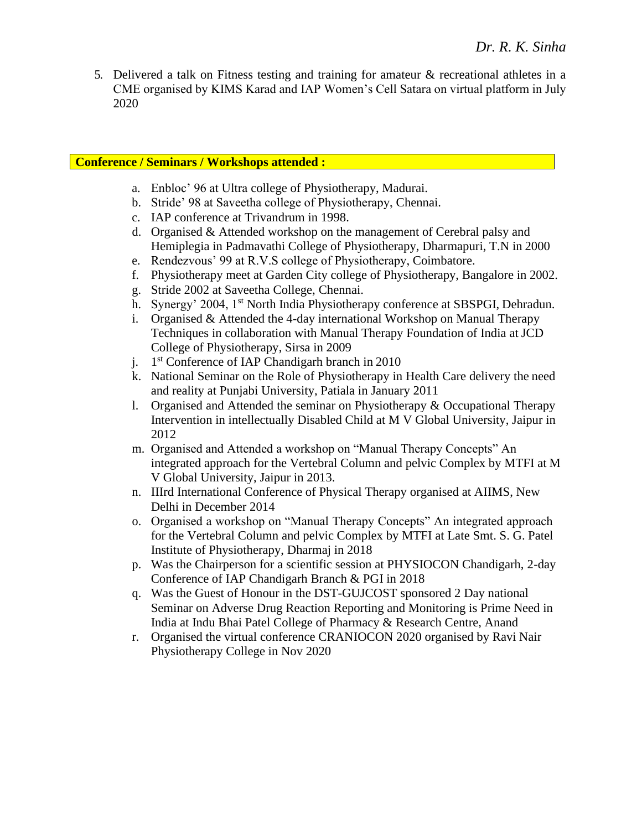5. Delivered a talk on Fitness testing and training for amateur & recreational athletes in a CME organised by KIMS Karad and IAP Women's Cell Satara on virtual platform in July 2020

# **Conference / Seminars / Workshops attended :**

- a. Enbloc' 96 at Ultra college of Physiotherapy, Madurai.
- b. Stride' 98 at Saveetha college of Physiotherapy, Chennai.
- c. IAP conference at Trivandrum in 1998.
- d. Organised & Attended workshop on the management of Cerebral palsy and Hemiplegia in Padmavathi College of Physiotherapy, Dharmapuri, T.N in 2000
- e. Rendezvous' 99 at R.V.S college of Physiotherapy, Coimbatore.
- f. Physiotherapy meet at Garden City college of Physiotherapy, Bangalore in 2002.
- g. Stride 2002 at Saveetha College, Chennai.
- h. Synergy' 2004, 1<sup>st</sup> North India Physiotherapy conference at SBSPGI, Dehradun.
- i. Organised & Attended the 4-day international Workshop on Manual Therapy Techniques in collaboration with Manual Therapy Foundation of India at JCD College of Physiotherapy, Sirsa in 2009
- j. 1 st Conference of IAP Chandigarh branch in 2010
- k. National Seminar on the Role of Physiotherapy in Health Care delivery the need and reality at Punjabi University, Patiala in January 2011
- l. Organised and Attended the seminar on Physiotherapy & Occupational Therapy Intervention in intellectually Disabled Child at M V Global University, Jaipur in 2012
- m. Organised and Attended a workshop on "Manual Therapy Concepts" An integrated approach for the Vertebral Column and pelvic Complex by MTFI at M V Global University, Jaipur in 2013.
- n. IIIrd International Conference of Physical Therapy organised at AIIMS, New Delhi in December 2014
- o. Organised a workshop on "Manual Therapy Concepts" An integrated approach for the Vertebral Column and pelvic Complex by MTFI at Late Smt. S. G. Patel Institute of Physiotherapy, Dharmaj in 2018
- p. Was the Chairperson for a scientific session at PHYSIOCON Chandigarh, 2-day Conference of IAP Chandigarh Branch & PGI in 2018
- q. Was the Guest of Honour in the DST-GUJCOST sponsored 2 Day national Seminar on Adverse Drug Reaction Reporting and Monitoring is Prime Need in India at Indu Bhai Patel College of Pharmacy & Research Centre, Anand
- r. Organised the virtual conference CRANIOCON 2020 organised by Ravi Nair Physiotherapy College in Nov 2020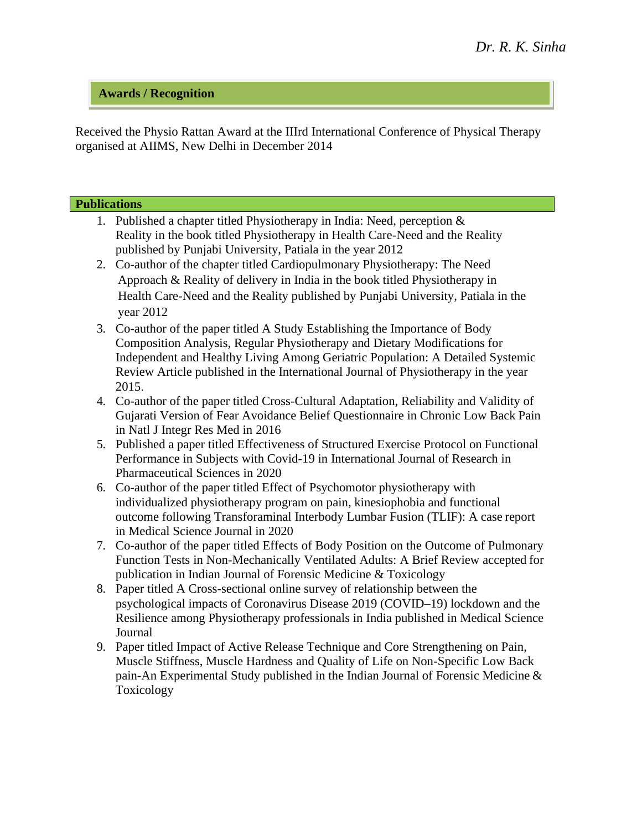## **Awards / Recognition**

Received the Physio Rattan Award at the IIIrd International Conference of Physical Therapy organised at AIIMS, New Delhi in December 2014

### **Publications**

- 1. Published a chapter titled Physiotherapy in India: Need, perception & Reality in the book titled Physiotherapy in Health Care-Need and the Reality published by Punjabi University, Patiala in the year 2012
- 2. Co-author of the chapter titled Cardiopulmonary Physiotherapy: The Need Approach & Reality of delivery in India in the book titled Physiotherapy in Health Care-Need and the Reality published by Punjabi University, Patiala in the year 2012
- 3. Co-author of the paper titled A Study Establishing the Importance of Body Composition Analysis, Regular Physiotherapy and Dietary Modifications for Independent and Healthy Living Among Geriatric Population: A Detailed Systemic Review Article published in the International Journal of Physiotherapy in the year 2015.
- 4. Co-author of the paper titled Cross-Cultural Adaptation, Reliability and Validity of Gujarati Version of Fear Avoidance Belief Questionnaire in Chronic Low Back Pain in Natl J Integr Res Med in 2016
- 5. Published a paper titled Effectiveness of Structured Exercise Protocol on Functional Performance in Subjects with Covid-19 in International Journal of Research in Pharmaceutical Sciences in 2020
- 6. Co-author of the paper titled Effect of Psychomotor physiotherapy with individualized physiotherapy program on pain, kinesiophobia and functional outcome following Transforaminal Interbody Lumbar Fusion (TLIF): A case report in Medical Science Journal in 2020
- 7. Co-author of the paper titled Effects of Body Position on the Outcome of Pulmonary Function Tests in Non-Mechanically Ventilated Adults: A Brief Review accepted for publication in Indian Journal of Forensic Medicine & Toxicology
- 8. Paper titled A Cross-sectional online survey of relationship between the psychological impacts of Coronavirus Disease 2019 (COVID–19) lockdown and the Resilience among Physiotherapy professionals in India published in Medical Science Journal
- 9. Paper titled Impact of Active Release Technique and Core Strengthening on Pain, Muscle Stiffness, Muscle Hardness and Quality of Life on Non-Specific Low Back pain-An Experimental Study published in the Indian Journal of Forensic Medicine & Toxicology